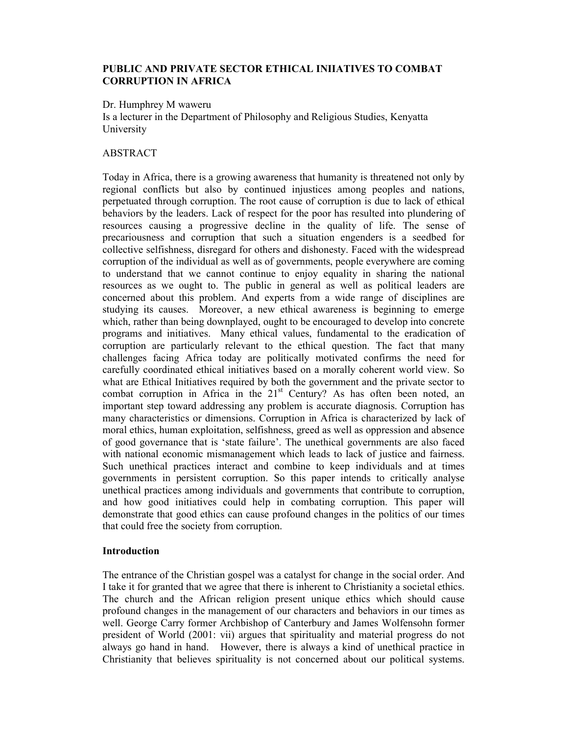# **PUBLIC AND PRIVATE SECTOR ETHICAL INIIATIVES TO COMBAT CORRUPTION IN AFRICA**

Dr. Humphrey M waweru

Is a lecturer in the Department of Philosophy and Religious Studies, Kenyatta University

## ABSTRACT

Today in Africa, there is a growing awareness that humanity is threatened not only by regional conflicts but also by continued injustices among peoples and nations, perpetuated through corruption. The root cause of corruption is due to lack of ethical behaviors by the leaders. Lack of respect for the poor has resulted into plundering of resources causing a progressive decline in the quality of life. The sense of precariousness and corruption that such a situation engenders is a seedbed for collective selfishness, disregard for others and dishonesty. Faced with the widespread corruption of the individual as well as of governments, people everywhere are coming to understand that we cannot continue to enjoy equality in sharing the national resources as we ought to. The public in general as well as political leaders are concerned about this problem. And experts from a wide range of disciplines are studying its causes. Moreover, a new ethical awareness is beginning to emerge which, rather than being downplayed, ought to be encouraged to develop into concrete programs and initiatives. Many ethical values, fundamental to the eradication of corruption are particularly relevant to the ethical question. The fact that many challenges facing Africa today are politically motivated confirms the need for carefully coordinated ethical initiatives based on a morally coherent world view. So what are Ethical Initiatives required by both the government and the private sector to combat corruption in Africa in the  $21<sup>st</sup>$  Century? As has often been noted, an important step toward addressing any problem is accurate diagnosis. Corruption has many characteristics or dimensions. Corruption in Africa is characterized by lack of moral ethics, human exploitation, selfishness, greed as well as oppression and absence of good governance that is 'state failure'. The unethical governments are also faced with national economic mismanagement which leads to lack of justice and fairness. Such unethical practices interact and combine to keep individuals and at times governments in persistent corruption. So this paper intends to critically analyse unethical practices among individuals and governments that contribute to corruption, and how good initiatives could help in combating corruption. This paper will demonstrate that good ethics can cause profound changes in the politics of our times that could free the society from corruption.

## **Introduction**

The entrance of the Christian gospel was a catalyst for change in the social order. And I take it for granted that we agree that there is inherent to Christianity a societal ethics. The church and the African religion present unique ethics which should cause profound changes in the management of our characters and behaviors in our times as well. George Carry former Archbishop of Canterbury and James Wolfensohn former president of World (2001: vii) argues that spirituality and material progress do not always go hand in hand. However, there is always a kind of unethical practice in Christianity that believes spirituality is not concerned about our political systems.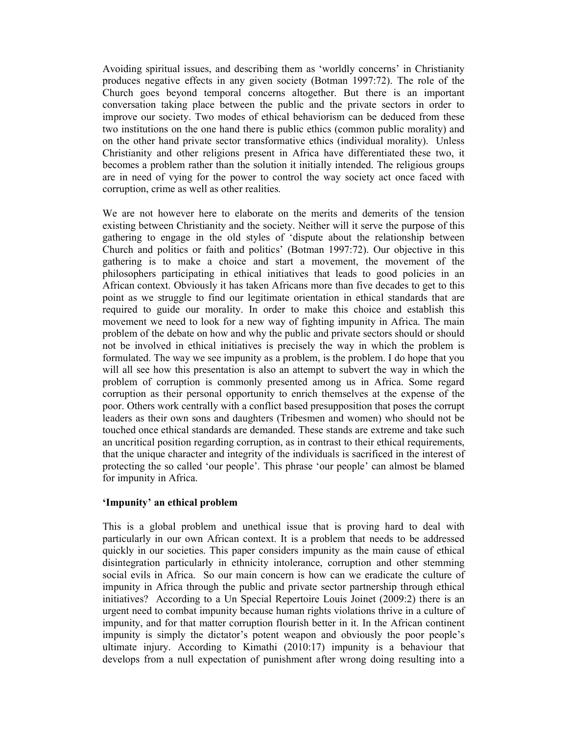Avoiding spiritual issues, and describing them as 'worldly concerns' in Christianity produces negative effects in any given society (Botman 1997:72). The role of the Church goes beyond temporal concerns altogether. But there is an important conversation taking place between the public and the private sectors in order to improve our society. Two modes of ethical behaviorism can be deduced from these two institutions on the one hand there is public ethics (common public morality) and on the other hand private sector transformative ethics (individual morality). Unless Christianity and other religions present in Africa have differentiated these two, it becomes a problem rather than the solution it initially intended. The religious groups are in need of vying for the power to control the way society act once faced with corruption, crime as well as other realities.

We are not however here to elaborate on the merits and demerits of the tension existing between Christianity and the society. Neither will it serve the purpose of this gathering to engage in the old styles of 'dispute about the relationship between Church and politics or faith and politics' (Botman 1997:72). Our objective in this gathering is to make a choice and start a movement, the movement of the philosophers participating in ethical initiatives that leads to good policies in an African context. Obviously it has taken Africans more than five decades to get to this point as we struggle to find our legitimate orientation in ethical standards that are required to guide our morality. In order to make this choice and establish this movement we need to look for a new way of fighting impunity in Africa. The main problem of the debate on how and why the public and private sectors should or should not be involved in ethical initiatives is precisely the way in which the problem is formulated. The way we see impunity as a problem, is the problem. I do hope that you will all see how this presentation is also an attempt to subvert the way in which the problem of corruption is commonly presented among us in Africa. Some regard corruption as their personal opportunity to enrich themselves at the expense of the poor. Others work centrally with a conflict based presupposition that poses the corrupt leaders as their own sons and daughters (Tribesmen and women) who should not be touched once ethical standards are demanded. These stands are extreme and take such an uncritical position regarding corruption, as in contrast to their ethical requirements, that the unique character and integrity of the individuals is sacrificed in the interest of protecting the so called 'our people'. This phrase 'our people' can almost be blamed for impunity in Africa.

## **'Impunity' an ethical problem**

This is a global problem and unethical issue that is proving hard to deal with particularly in our own African context. It is a problem that needs to be addressed quickly in our societies. This paper considers impunity as the main cause of ethical disintegration particularly in ethnicity intolerance, corruption and other stemming social evils in Africa. So our main concern is how can we eradicate the culture of impunity in Africa through the public and private sector partnership through ethical initiatives? According to a Un Special Repertoire Louis Joinet (2009:2) there is an urgent need to combat impunity because human rights violations thrive in a culture of impunity, and for that matter corruption flourish better in it. In the African continent impunity is simply the dictator's potent weapon and obviously the poor people's ultimate injury. According to Kimathi (2010:17) impunity is a behaviour that develops from a null expectation of punishment after wrong doing resulting into a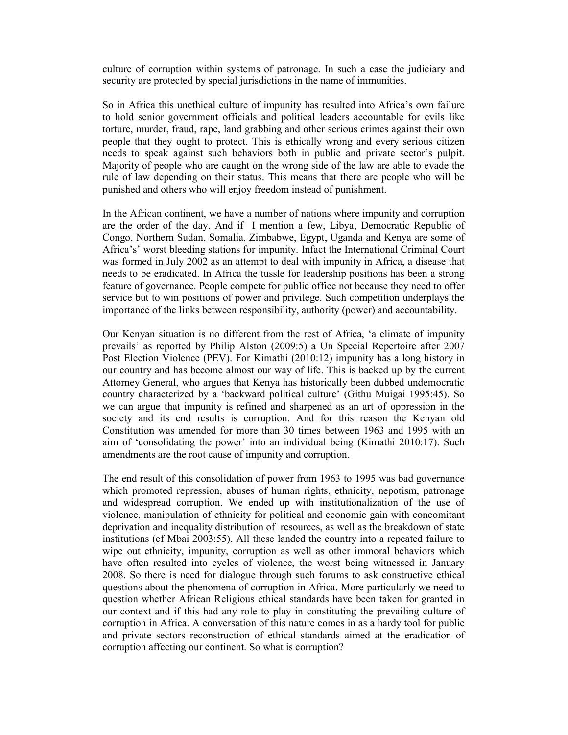culture of corruption within systems of patronage. In such a case the judiciary and security are protected by special jurisdictions in the name of immunities.

So in Africa this unethical culture of impunity has resulted into Africa's own failure to hold senior government officials and political leaders accountable for evils like torture, murder, fraud, rape, land grabbing and other serious crimes against their own people that they ought to protect. This is ethically wrong and every serious citizen needs to speak against such behaviors both in public and private sector's pulpit. Majority of people who are caught on the wrong side of the law are able to evade the rule of law depending on their status. This means that there are people who will be punished and others who will enjoy freedom instead of punishment.

In the African continent, we have a number of nations where impunity and corruption are the order of the day. And if I mention a few, Libya, Democratic Republic of Congo, Northern Sudan, Somalia, Zimbabwe, Egypt, Uganda and Kenya are some of Africa's' worst bleeding stations for impunity. Infact the International Criminal Court was formed in July 2002 as an attempt to deal with impunity in Africa, a disease that needs to be eradicated. In Africa the tussle for leadership positions has been a strong feature of governance. People compete for public office not because they need to offer service but to win positions of power and privilege. Such competition underplays the importance of the links between responsibility, authority (power) and accountability.

Our Kenyan situation is no different from the rest of Africa, 'a climate of impunity prevails' as reported by Philip Alston (2009:5) a Un Special Repertoire after 2007 Post Election Violence (PEV). For Kimathi (2010:12) impunity has a long history in our country and has become almost our way of life. This is backed up by the current Attorney General, who argues that Kenya has historically been dubbed undemocratic country characterized by a 'backward political culture' (Githu Muigai 1995:45). So we can argue that impunity is refined and sharpened as an art of oppression in the society and its end results is corruption. And for this reason the Kenyan old Constitution was amended for more than 30 times between 1963 and 1995 with an aim of 'consolidating the power' into an individual being (Kimathi 2010:17). Such amendments are the root cause of impunity and corruption.

The end result of this consolidation of power from 1963 to 1995 was bad governance which promoted repression, abuses of human rights, ethnicity, nepotism, patronage and widespread corruption. We ended up with institutionalization of the use of violence, manipulation of ethnicity for political and economic gain with concomitant deprivation and inequality distribution of resources, as well as the breakdown of state institutions (cf Mbai 2003:55). All these landed the country into a repeated failure to wipe out ethnicity, impunity, corruption as well as other immoral behaviors which have often resulted into cycles of violence, the worst being witnessed in January 2008. So there is need for dialogue through such forums to ask constructive ethical questions about the phenomena of corruption in Africa. More particularly we need to question whether African Religious ethical standards have been taken for granted in our context and if this had any role to play in constituting the prevailing culture of corruption in Africa. A conversation of this nature comes in as a hardy tool for public and private sectors reconstruction of ethical standards aimed at the eradication of corruption affecting our continent. So what is corruption?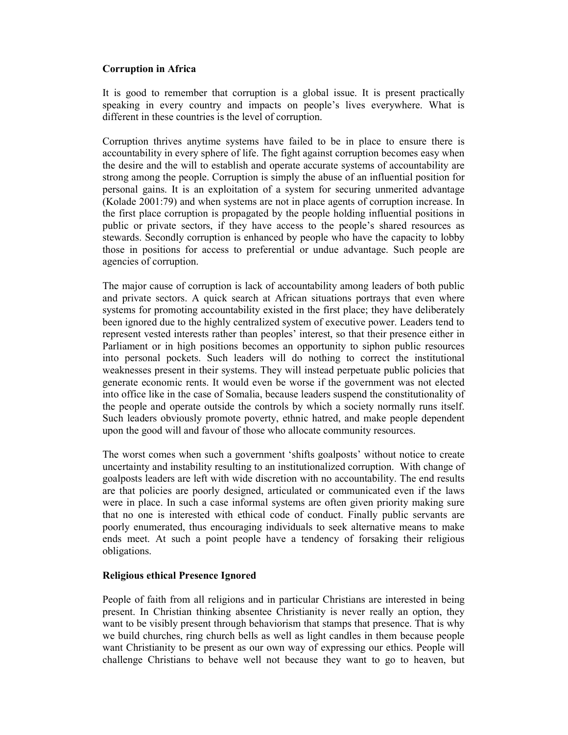# **Corruption in Africa**

It is good to remember that corruption is a global issue. It is present practically speaking in every country and impacts on people's lives everywhere. What is different in these countries is the level of corruption.

Corruption thrives anytime systems have failed to be in place to ensure there is accountability in every sphere of life. The fight against corruption becomes easy when the desire and the will to establish and operate accurate systems of accountability are strong among the people. Corruption is simply the abuse of an influential position for personal gains. It is an exploitation of a system for securing unmerited advantage (Kolade 2001:79) and when systems are not in place agents of corruption increase. In the first place corruption is propagated by the people holding influential positions in public or private sectors, if they have access to the people's shared resources as stewards. Secondly corruption is enhanced by people who have the capacity to lobby those in positions for access to preferential or undue advantage. Such people are agencies of corruption.

The major cause of corruption is lack of accountability among leaders of both public and private sectors. A quick search at African situations portrays that even where systems for promoting accountability existed in the first place; they have deliberately been ignored due to the highly centralized system of executive power. Leaders tend to represent vested interests rather than peoples' interest, so that their presence either in Parliament or in high positions becomes an opportunity to siphon public resources into personal pockets. Such leaders will do nothing to correct the institutional weaknesses present in their systems. They will instead perpetuate public policies that generate economic rents. It would even be worse if the government was not elected into office like in the case of Somalia, because leaders suspend the constitutionality of the people and operate outside the controls by which a society normally runs itself. Such leaders obviously promote poverty, ethnic hatred, and make people dependent upon the good will and favour of those who allocate community resources.

The worst comes when such a government 'shifts goalposts' without notice to create uncertainty and instability resulting to an institutionalized corruption. With change of goalposts leaders are left with wide discretion with no accountability. The end results are that policies are poorly designed, articulated or communicated even if the laws were in place. In such a case informal systems are often given priority making sure that no one is interested with ethical code of conduct. Finally public servants are poorly enumerated, thus encouraging individuals to seek alternative means to make ends meet. At such a point people have a tendency of forsaking their religious obligations.

## **Religious ethical Presence Ignored**

People of faith from all religions and in particular Christians are interested in being present. In Christian thinking absentee Christianity is never really an option, they want to be visibly present through behaviorism that stamps that presence. That is why we build churches, ring church bells as well as light candles in them because people want Christianity to be present as our own way of expressing our ethics. People will challenge Christians to behave well not because they want to go to heaven, but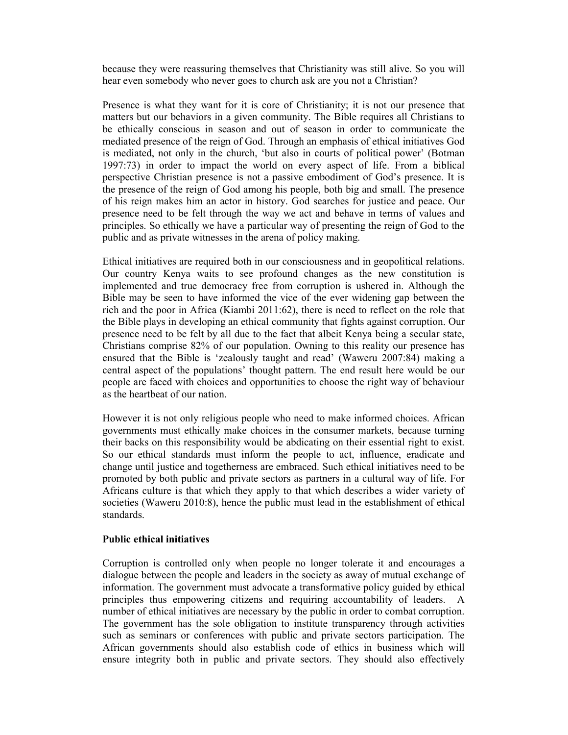because they were reassuring themselves that Christianity was still alive. So you will hear even somebody who never goes to church ask are you not a Christian?

Presence is what they want for it is core of Christianity; it is not our presence that matters but our behaviors in a given community. The Bible requires all Christians to be ethically conscious in season and out of season in order to communicate the mediated presence of the reign of God. Through an emphasis of ethical initiatives God is mediated, not only in the church, 'but also in courts of political power' (Botman 1997:73) in order to impact the world on every aspect of life. From a biblical perspective Christian presence is not a passive embodiment of God's presence. It is the presence of the reign of God among his people, both big and small. The presence of his reign makes him an actor in history. God searches for justice and peace. Our presence need to be felt through the way we act and behave in terms of values and principles. So ethically we have a particular way of presenting the reign of God to the public and as private witnesses in the arena of policy making.

Ethical initiatives are required both in our consciousness and in geopolitical relations. Our country Kenya waits to see profound changes as the new constitution is implemented and true democracy free from corruption is ushered in. Although the Bible may be seen to have informed the vice of the ever widening gap between the rich and the poor in Africa (Kiambi 2011:62), there is need to reflect on the role that the Bible plays in developing an ethical community that fights against corruption. Our presence need to be felt by all due to the fact that albeit Kenya being a secular state, Christians comprise 82% of our population. Owning to this reality our presence has ensured that the Bible is 'zealously taught and read' (Waweru 2007:84) making a central aspect of the populations' thought pattern. The end result here would be our people are faced with choices and opportunities to choose the right way of behaviour as the heartbeat of our nation.

However it is not only religious people who need to make informed choices. African governments must ethically make choices in the consumer markets, because turning their backs on this responsibility would be abdicating on their essential right to exist. So our ethical standards must inform the people to act, influence, eradicate and change until justice and togetherness are embraced. Such ethical initiatives need to be promoted by both public and private sectors as partners in a cultural way of life. For Africans culture is that which they apply to that which describes a wider variety of societies (Waweru 2010:8), hence the public must lead in the establishment of ethical standards.

### **Public ethical initiatives**

Corruption is controlled only when people no longer tolerate it and encourages a dialogue between the people and leaders in the society as away of mutual exchange of information. The government must advocate a transformative policy guided by ethical principles thus empowering citizens and requiring accountability of leaders. A number of ethical initiatives are necessary by the public in order to combat corruption. The government has the sole obligation to institute transparency through activities such as seminars or conferences with public and private sectors participation. The African governments should also establish code of ethics in business which will ensure integrity both in public and private sectors. They should also effectively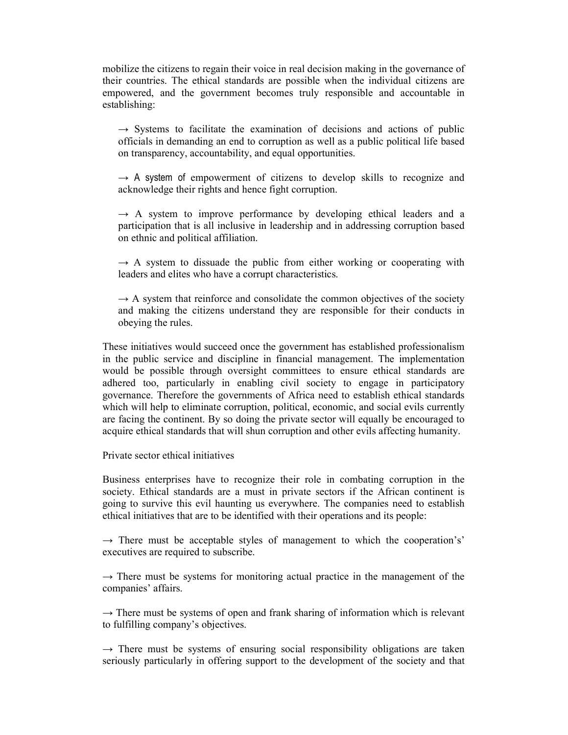mobilize the citizens to regain their voice in real decision making in the governance of their countries. The ethical standards are possible when the individual citizens are empowered, and the government becomes truly responsible and accountable in establishing:

 $\rightarrow$  Systems to facilitate the examination of decisions and actions of public officials in demanding an end to corruption as well as a public political life based on transparency, accountability, and equal opportunities.

 $\rightarrow$  A system of empowerment of citizens to develop skills to recognize and acknowledge their rights and hence fight corruption.

 $\rightarrow$  A system to improve performance by developing ethical leaders and a participation that is all inclusive in leadership and in addressing corruption based on ethnic and political affiliation.

 $\rightarrow$  A system to dissuade the public from either working or cooperating with leaders and elites who have a corrupt characteristics.

 $\rightarrow$  A system that reinforce and consolidate the common objectives of the society and making the citizens understand they are responsible for their conducts in obeying the rules.

These initiatives would succeed once the government has established professionalism in the public service and discipline in financial management. The implementation would be possible through oversight committees to ensure ethical standards are adhered too, particularly in enabling civil society to engage in participatory governance. Therefore the governments of Africa need to establish ethical standards which will help to eliminate corruption, political, economic, and social evils currently are facing the continent. By so doing the private sector will equally be encouraged to acquire ethical standards that will shun corruption and other evils affecting humanity.

Private sector ethical initiatives

Business enterprises have to recognize their role in combating corruption in the society. Ethical standards are a must in private sectors if the African continent is going to survive this evil haunting us everywhere. The companies need to establish ethical initiatives that are to be identified with their operations and its people:

 $\rightarrow$  There must be acceptable styles of management to which the cooperation's' executives are required to subscribe.

 $\rightarrow$  There must be systems for monitoring actual practice in the management of the companies' affairs.

 $\rightarrow$  There must be systems of open and frank sharing of information which is relevant to fulfilling company's objectives.

 $\rightarrow$  There must be systems of ensuring social responsibility obligations are taken seriously particularly in offering support to the development of the society and that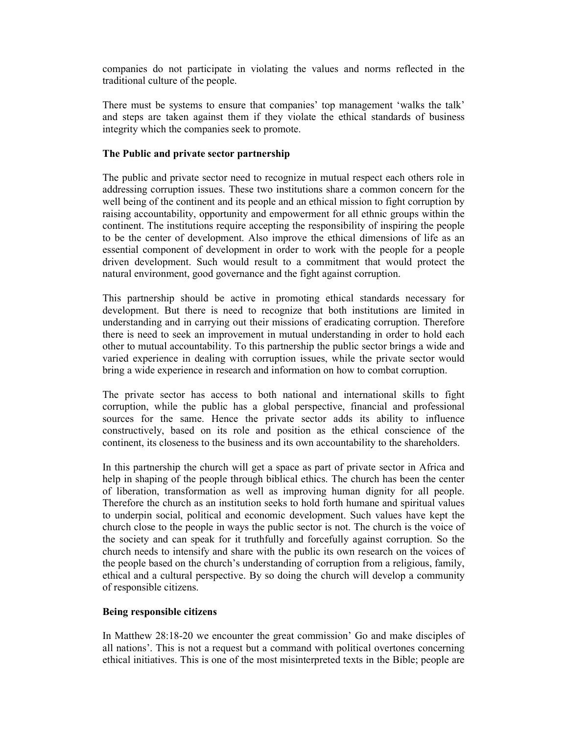companies do not participate in violating the values and norms reflected in the traditional culture of the people.

There must be systems to ensure that companies' top management 'walks the talk' and steps are taken against them if they violate the ethical standards of business integrity which the companies seek to promote.

### **The Public and private sector partnership**

The public and private sector need to recognize in mutual respect each others role in addressing corruption issues. These two institutions share a common concern for the well being of the continent and its people and an ethical mission to fight corruption by raising accountability, opportunity and empowerment for all ethnic groups within the continent. The institutions require accepting the responsibility of inspiring the people to be the center of development. Also improve the ethical dimensions of life as an essential component of development in order to work with the people for a people driven development. Such would result to a commitment that would protect the natural environment, good governance and the fight against corruption.

This partnership should be active in promoting ethical standards necessary for development. But there is need to recognize that both institutions are limited in understanding and in carrying out their missions of eradicating corruption. Therefore there is need to seek an improvement in mutual understanding in order to hold each other to mutual accountability. To this partnership the public sector brings a wide and varied experience in dealing with corruption issues, while the private sector would bring a wide experience in research and information on how to combat corruption.

The private sector has access to both national and international skills to fight corruption, while the public has a global perspective, financial and professional sources for the same. Hence the private sector adds its ability to influence constructively, based on its role and position as the ethical conscience of the continent, its closeness to the business and its own accountability to the shareholders.

In this partnership the church will get a space as part of private sector in Africa and help in shaping of the people through biblical ethics. The church has been the center of liberation, transformation as well as improving human dignity for all people. Therefore the church as an institution seeks to hold forth humane and spiritual values to underpin social, political and economic development. Such values have kept the church close to the people in ways the public sector is not. The church is the voice of the society and can speak for it truthfully and forcefully against corruption. So the church needs to intensify and share with the public its own research on the voices of the people based on the church's understanding of corruption from a religious, family, ethical and a cultural perspective. By so doing the church will develop a community of responsible citizens.

## **Being responsible citizens**

In Matthew 28:18-20 we encounter the great commission' Go and make disciples of all nations'. This is not a request but a command with political overtones concerning ethical initiatives. This is one of the most misinterpreted texts in the Bible; people are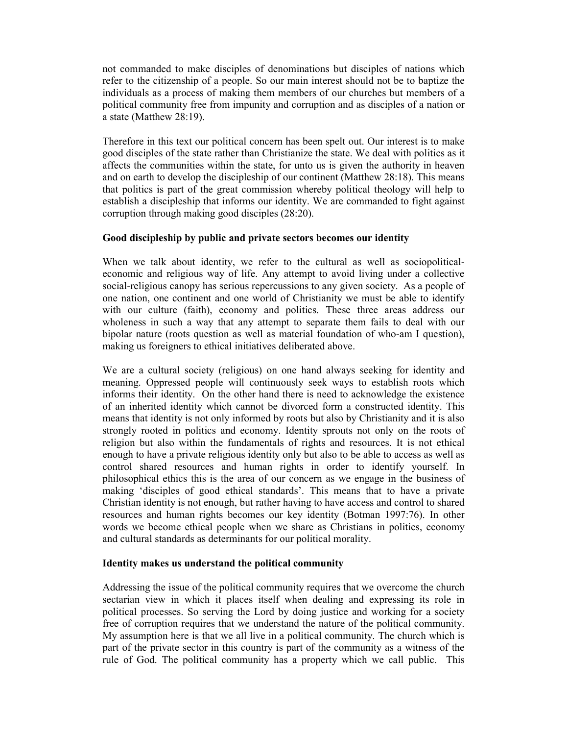not commanded to make disciples of denominations but disciples of nations which refer to the citizenship of a people. So our main interest should not be to baptize the individuals as a process of making them members of our churches but members of a political community free from impunity and corruption and as disciples of a nation or a state (Matthew 28:19).

Therefore in this text our political concern has been spelt out. Our interest is to make good disciples of the state rather than Christianize the state. We deal with politics as it affects the communities within the state, for unto us is given the authority in heaven and on earth to develop the discipleship of our continent (Matthew 28:18). This means that politics is part of the great commission whereby political theology will help to establish a discipleship that informs our identity. We are commanded to fight against corruption through making good disciples (28:20).

# **Good discipleship by public and private sectors becomes our identity**

When we talk about identity, we refer to the cultural as well as sociopoliticaleconomic and religious way of life. Any attempt to avoid living under a collective social-religious canopy has serious repercussions to any given society. As a people of one nation, one continent and one world of Christianity we must be able to identify with our culture (faith), economy and politics. These three areas address our wholeness in such a way that any attempt to separate them fails to deal with our bipolar nature (roots question as well as material foundation of who-am I question), making us foreigners to ethical initiatives deliberated above.

We are a cultural society (religious) on one hand always seeking for identity and meaning. Oppressed people will continuously seek ways to establish roots which informs their identity. On the other hand there is need to acknowledge the existence of an inherited identity which cannot be divorced form a constructed identity. This means that identity is not only informed by roots but also by Christianity and it is also strongly rooted in politics and economy. Identity sprouts not only on the roots of religion but also within the fundamentals of rights and resources. It is not ethical enough to have a private religious identity only but also to be able to access as well as control shared resources and human rights in order to identify yourself. In philosophical ethics this is the area of our concern as we engage in the business of making 'disciples of good ethical standards'. This means that to have a private Christian identity is not enough, but rather having to have access and control to shared resources and human rights becomes our key identity (Botman 1997:76). In other words we become ethical people when we share as Christians in politics, economy and cultural standards as determinants for our political morality.

## **Identity makes us understand the political community**

Addressing the issue of the political community requires that we overcome the church sectarian view in which it places itself when dealing and expressing its role in political processes. So serving the Lord by doing justice and working for a society free of corruption requires that we understand the nature of the political community. My assumption here is that we all live in a political community. The church which is part of the private sector in this country is part of the community as a witness of the rule of God. The political community has a property which we call public. This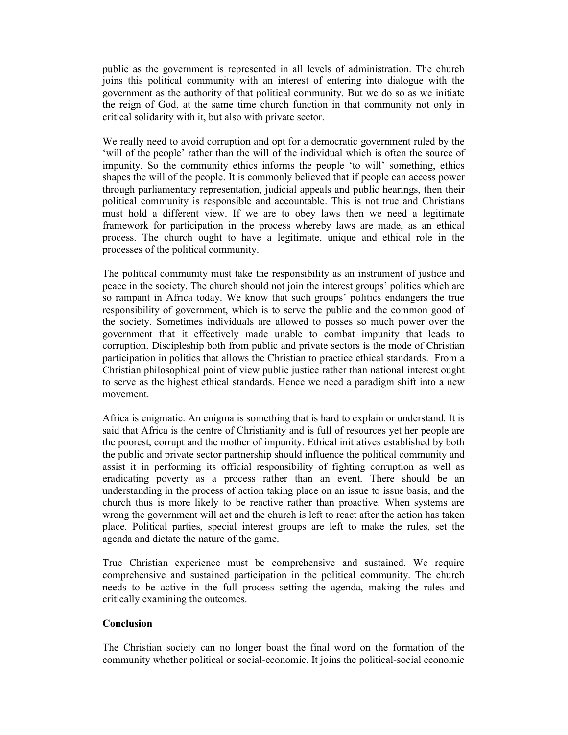public as the government is represented in all levels of administration. The church joins this political community with an interest of entering into dialogue with the government as the authority of that political community. But we do so as we initiate the reign of God, at the same time church function in that community not only in critical solidarity with it, but also with private sector.

We really need to avoid corruption and opt for a democratic government ruled by the 'will of the people' rather than the will of the individual which is often the source of impunity. So the community ethics informs the people 'to will' something, ethics shapes the will of the people. It is commonly believed that if people can access power through parliamentary representation, judicial appeals and public hearings, then their political community is responsible and accountable. This is not true and Christians must hold a different view. If we are to obey laws then we need a legitimate framework for participation in the process whereby laws are made, as an ethical process. The church ought to have a legitimate, unique and ethical role in the processes of the political community.

The political community must take the responsibility as an instrument of justice and peace in the society. The church should not join the interest groups' politics which are so rampant in Africa today. We know that such groups' politics endangers the true responsibility of government, which is to serve the public and the common good of the society. Sometimes individuals are allowed to posses so much power over the government that it effectively made unable to combat impunity that leads to corruption. Discipleship both from public and private sectors is the mode of Christian participation in politics that allows the Christian to practice ethical standards. From a Christian philosophical point of view public justice rather than national interest ought to serve as the highest ethical standards. Hence we need a paradigm shift into a new movement.

Africa is enigmatic. An enigma is something that is hard to explain or understand. It is said that Africa is the centre of Christianity and is full of resources yet her people are the poorest, corrupt and the mother of impunity. Ethical initiatives established by both the public and private sector partnership should influence the political community and assist it in performing its official responsibility of fighting corruption as well as eradicating poverty as a process rather than an event. There should be an understanding in the process of action taking place on an issue to issue basis, and the church thus is more likely to be reactive rather than proactive. When systems are wrong the government will act and the church is left to react after the action has taken place. Political parties, special interest groups are left to make the rules, set the agenda and dictate the nature of the game.

True Christian experience must be comprehensive and sustained. We require comprehensive and sustained participation in the political community. The church needs to be active in the full process setting the agenda, making the rules and critically examining the outcomes.

## **Conclusion**

The Christian society can no longer boast the final word on the formation of the community whether political or social-economic. It joins the political-social economic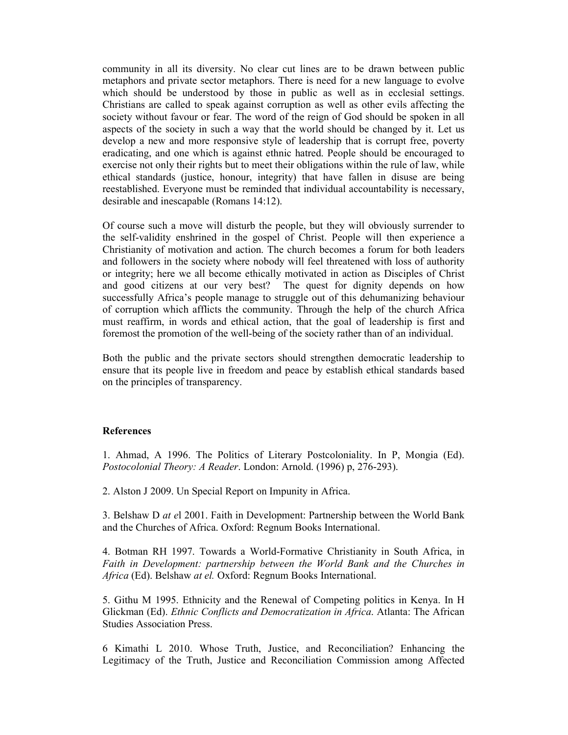community in all its diversity. No clear cut lines are to be drawn between public metaphors and private sector metaphors. There is need for a new language to evolve which should be understood by those in public as well as in ecclesial settings. Christians are called to speak against corruption as well as other evils affecting the society without favour or fear. The word of the reign of God should be spoken in all aspects of the society in such a way that the world should be changed by it. Let us develop a new and more responsive style of leadership that is corrupt free, poverty eradicating, and one which is against ethnic hatred. People should be encouraged to exercise not only their rights but to meet their obligations within the rule of law, while ethical standards (justice, honour, integrity) that have fallen in disuse are being reestablished. Everyone must be reminded that individual accountability is necessary, desirable and inescapable (Romans 14:12).

Of course such a move will disturb the people, but they will obviously surrender to the self-validity enshrined in the gospel of Christ. People will then experience a Christianity of motivation and action. The church becomes a forum for both leaders and followers in the society where nobody will feel threatened with loss of authority or integrity; here we all become ethically motivated in action as Disciples of Christ and good citizens at our very best? The quest for dignity depends on how successfully Africa's people manage to struggle out of this dehumanizing behaviour of corruption which afflicts the community. Through the help of the church Africa must reaffirm, in words and ethical action, that the goal of leadership is first and foremost the promotion of the well-being of the society rather than of an individual.

Both the public and the private sectors should strengthen democratic leadership to ensure that its people live in freedom and peace by establish ethical standards based on the principles of transparency.

### **References**

1. Ahmad, A 1996. The Politics of Literary Postcoloniality. In P, Mongia (Ed). *Postocolonial Theory: A Reader*. London: Arnold. (1996) p, 276-293).

2. Alston J 2009. Un Special Report on Impunity in Africa.

3. Belshaw D *at e*l 2001. Faith in Development: Partnership between the World Bank and the Churches of Africa. Oxford: Regnum Books International.

4. Botman RH 1997. Towards a World-Formative Christianity in South Africa, in Faith in Development: partnership between the World Bank and the Churches in *Africa* (Ed). Belshaw *at el.* Oxford: Regnum Books International.

5. Githu M 1995. Ethnicity and the Renewal of Competing politics in Kenya. In H Glickman (Ed). *Ethnic Conflicts and Democratization in Africa*. Atlanta: The African Studies Association Press.

6 Kimathi L 2010. Whose Truth, Justice, and Reconciliation? Enhancing the Legitimacy of the Truth, Justice and Reconciliation Commission among Affected